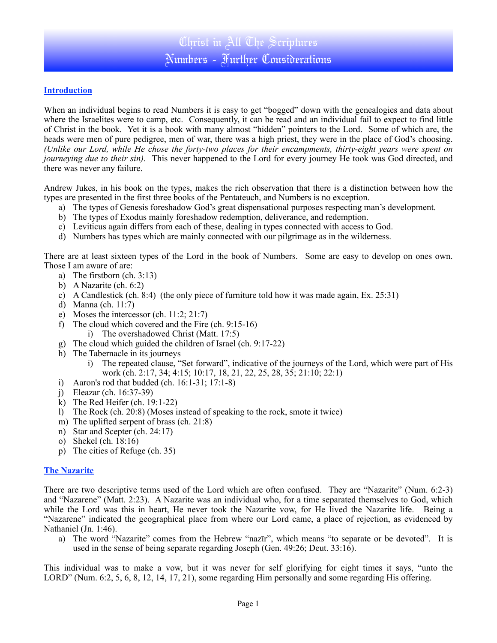# **Introduction**

When an individual begins to read Numbers it is easy to get "bogged" down with the genealogies and data about where the Israelites were to camp, etc. Consequently, it can be read and an individual fail to expect to find little of Christ in the book. Yet it is a book with many almost "hidden" pointers to the Lord. Some of which are, the heads were men of pure pedigree, men of war, there was a high priest, they were in the place of God's choosing. *(Unlike our Lord, while He chose the forty-two places for their encampments, thirty-eight years were spent on journeying due to their sin)*. This never happened to the Lord for every journey He took was God directed, and there was never any failure.

Andrew Jukes, in his book on the types, makes the rich observation that there is a distinction between how the types are presented in the first three books of the Pentateuch, and Numbers is no exception.

- a) The types of Genesis foreshadow God's great dispensational purposes respecting man's development.
- b) The types of Exodus mainly foreshadow redemption, deliverance, and redemption.
- c) Leviticus again differs from each of these, dealing in types connected with access to God.
- d) Numbers has types which are mainly connected with our pilgrimage as in the wilderness.

There are at least sixteen types of the Lord in the book of Numbers. Some are easy to develop on ones own. Those I am aware of are:

- a) The firstborn (ch. 3:13)
- b) A Nazarite (ch. 6:2)
- c) A Candlestick (ch. 8:4) (the only piece of furniture told how it was made again, Ex. 25:31)
- d) Manna (ch. 11:7)
- e) Moses the intercessor (ch. 11:2; 21:7)
- f) The cloud which covered and the Fire (ch. 9:15-16)
	- i) The overshadowed Christ (Matt. 17:5)
- g) The cloud which guided the children of Israel (ch. 9:17-22)
- h) The Tabernacle in its journeys
	- i) The repeated clause, "Set forward", indicative of the journeys of the Lord, which were part of His work (ch. 2:17, 34; 4:15; 10:17, 18, 21, 22, 25, 28, 35; 21:10; 22:1)
- i) Aaron's rod that budded (ch. 16:1-31; 17:1-8)
- j) Eleazar (ch. 16:37-39)
- $k)$  The Red Heifer (ch. 19:1-22)
- l) The Rock (ch.  $20:8$ ) (Moses instead of speaking to the rock, smote it twice)
- m) The uplifted serpent of brass (ch. 21:8)
- n) Star and Scepter (ch. 24:17)
- o) Shekel (ch. 18:16)
- p) The cities of Refuge (ch. 35)

#### **The Nazarite**

There are two descriptive terms used of the Lord which are often confused. They are "Nazarite" (Num. 6:2-3) and "Nazarene" (Matt. 2:23). A Nazarite was an individual who, for a time separated themselves to God, which while the Lord was this in heart, He never took the Nazarite vow, for He lived the Nazarite life. Being a "Nazarene" indicated the geographical place from where our Lord came, a place of rejection, as evidenced by Nathaniel (Jn. 1:46).

a) The word "Nazarite" comes from the Hebrew "nazīr", which means "to separate or be devoted". It is used in the sense of being separate regarding Joseph (Gen. 49:26; Deut. 33:16).

This individual was to make a vow, but it was never for self glorifying for eight times it says, "unto the LORD" (Num. 6:2, 5, 6, 8, 12, 14, 17, 21), some regarding Him personally and some regarding His offering.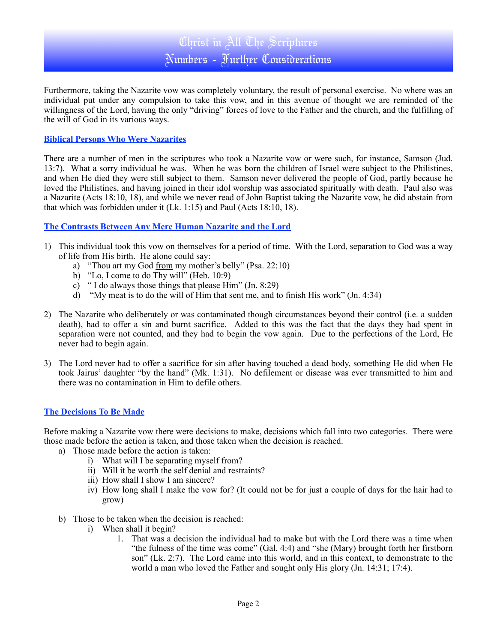# Christ in All The Scriptures Numbers - Further Considerations

Furthermore, taking the Nazarite vow was completely voluntary, the result of personal exercise. No where was an individual put under any compulsion to take this vow, and in this avenue of thought we are reminded of the willingness of the Lord, having the only "driving" forces of love to the Father and the church, and the fulfilling of the will of God in its various ways.

#### **Biblical Persons Who Were Nazarites**

There are a number of men in the scriptures who took a Nazarite vow or were such, for instance, Samson (Jud. 13:7). What a sorry individual he was. When he was born the children of Israel were subject to the Philistines, and when He died they were still subject to them. Samson never delivered the people of God, partly because he loved the Philistines, and having joined in their idol worship was associated spiritually with death. Paul also was a Nazarite (Acts 18:10, 18), and while we never read of John Baptist taking the Nazarite vow, he did abstain from that which was forbidden under it (Lk. 1:15) and Paul (Acts 18:10, 18).

#### **The Contrasts Between Any Mere Human Nazarite and the Lord**

- 1) This individual took this vow on themselves for a period of time. With the Lord, separation to God was a way of life from His birth. He alone could say:
	- a) "Thou art my God from my mother's belly" (Psa. 22:10)
	- b) "Lo, I come to do Thy will" (Heb. 10:9)
	- c) " I do always those things that please Him" (Jn. 8:29)
	- d) "My meat is to do the will of Him that sent me, and to finish His work" (Jn. 4:34)
- 2) The Nazarite who deliberately or was contaminated though circumstances beyond their control (i.e. a sudden death), had to offer a sin and burnt sacrifice. Added to this was the fact that the days they had spent in separation were not counted, and they had to begin the vow again. Due to the perfections of the Lord, He never had to begin again.
- 3) The Lord never had to offer a sacrifice for sin after having touched a dead body, something He did when He took Jairus' daughter "by the hand" (Mk. 1:31). No defilement or disease was ever transmitted to him and there was no contamination in Him to defile others.

# **The Decisions To Be Made**

Before making a Nazarite vow there were decisions to make, decisions which fall into two categories. There were those made before the action is taken, and those taken when the decision is reached.

- a) Those made before the action is taken:
	- i) What will I be separating myself from?
	- ii) Will it be worth the self denial and restraints?
	- iii) How shall I show I am sincere?
	- iv) How long shall I make the vow for? (It could not be for just a couple of days for the hair had to grow)
- b) Those to be taken when the decision is reached:
	- i) When shall it begin?
		- 1. That was a decision the individual had to make but with the Lord there was a time when "the fulness of the time was come" (Gal. 4:4) and "she (Mary) brought forth her firstborn son" (Lk. 2:7). The Lord came into this world, and in this context, to demonstrate to the world a man who loved the Father and sought only His glory (Jn. 14:31; 17:4).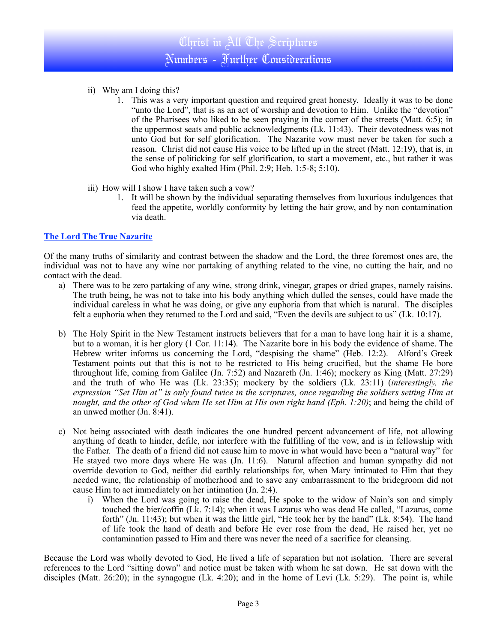- ii) Why am I doing this?
	- 1. This was a very important question and required great honesty. Ideally it was to be done "unto the Lord", that is as an act of worship and devotion to Him. Unlike the "devotion" of the Pharisees who liked to be seen praying in the corner of the streets (Matt. 6:5); in the uppermost seats and public acknowledgments (Lk. 11:43). Their devotedness was not unto God but for self glorification. The Nazarite vow must never be taken for such a reason. Christ did not cause His voice to be lifted up in the street (Matt. 12:19), that is, in the sense of politicking for self glorification, to start a movement, etc., but rather it was God who highly exalted Him (Phil. 2:9; Heb. 1:5-8; 5:10).
- iii) How will I show I have taken such a vow?
	- 1. It will be shown by the individual separating themselves from luxurious indulgences that feed the appetite, worldly conformity by letting the hair grow, and by non contamination via death.

# **The Lord The True Nazarite**

Of the many truths of similarity and contrast between the shadow and the Lord, the three foremost ones are, the individual was not to have any wine nor partaking of anything related to the vine, no cutting the hair, and no contact with the dead.

- a) There was to be zero partaking of any wine, strong drink, vinegar, grapes or dried grapes, namely raisins. The truth being, he was not to take into his body anything which dulled the senses, could have made the individual careless in what he was doing, or give any euphoria from that which is natural. The disciples felt a euphoria when they returned to the Lord and said, "Even the devils are subject to us" (Lk. 10:17).
- b) The Holy Spirit in the New Testament instructs believers that for a man to have long hair it is a shame, but to a woman, it is her glory (1 Cor. 11:14). The Nazarite bore in his body the evidence of shame. The Hebrew writer informs us concerning the Lord, "despising the shame" (Heb. 12:2). Alford's Greek Testament points out that this is not to be restricted to His being crucified, but the shame He bore throughout life, coming from Galilee (Jn. 7:52) and Nazareth (Jn. 1:46); mockery as King (Matt. 27:29) and the truth of who He was (Lk. 23:35); mockery by the soldiers (Lk. 23:11) (*interestingly, the expression "Set Him at" is only found twice in the scriptures, once regarding the soldiers setting Him at nought, and the other of God when He set Him at His own right hand (Eph. 1:20)*; and being the child of an unwed mother (Jn. 8:41).
- c) Not being associated with death indicates the one hundred percent advancement of life, not allowing anything of death to hinder, defile, nor interfere with the fulfilling of the vow, and is in fellowship with the Father. The death of a friend did not cause him to move in what would have been a "natural way" for He stayed two more days where He was (Jn. 11:6). Natural affection and human sympathy did not override devotion to God, neither did earthly relationships for, when Mary intimated to Him that they needed wine, the relationship of motherhood and to save any embarrassment to the bridegroom did not cause Him to act immediately on her intimation (Jn. 2:4).
	- i) When the Lord was going to raise the dead, He spoke to the widow of Nain's son and simply touched the bier/coffin (Lk. 7:14); when it was Lazarus who was dead He called, "Lazarus, come forth" (Jn. 11:43); but when it was the little girl, "He took her by the hand" (Lk. 8:54). The hand of life took the hand of death and before He ever rose from the dead, He raised her, yet no contamination passed to Him and there was never the need of a sacrifice for cleansing.

Because the Lord was wholly devoted to God, He lived a life of separation but not isolation. There are several references to the Lord "sitting down" and notice must be taken with whom he sat down. He sat down with the disciples (Matt. 26:20); in the synagogue (Lk. 4:20); and in the home of Levi (Lk. 5:29). The point is, while